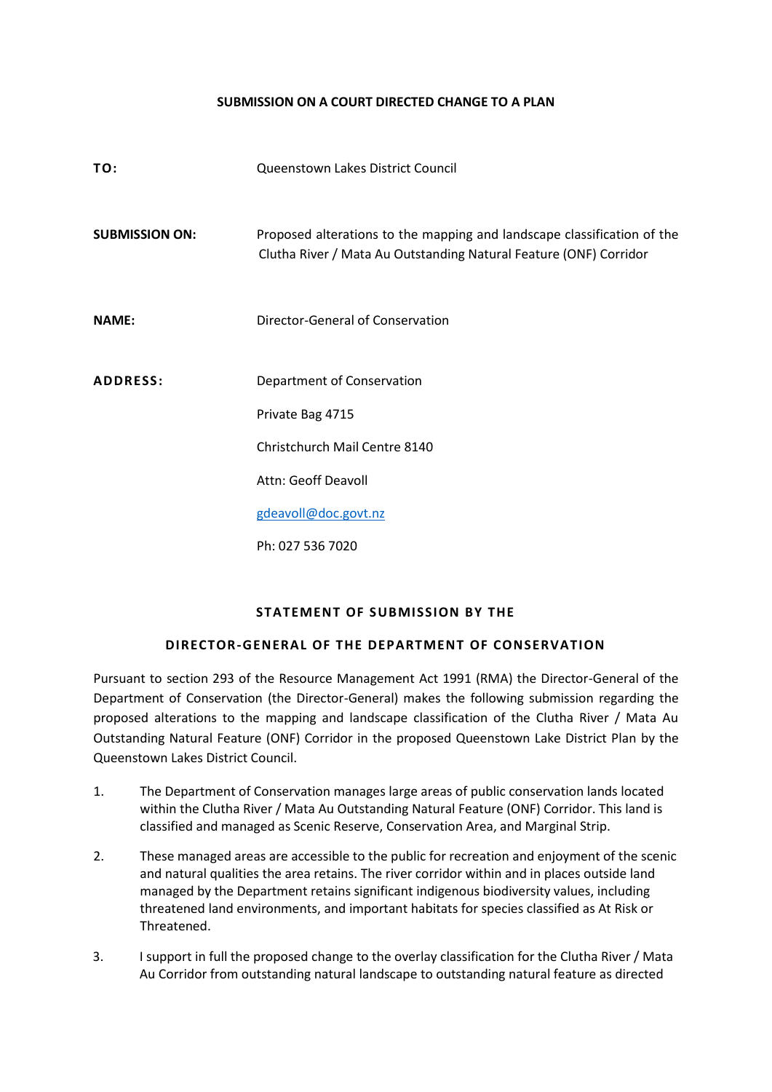## **SUBMISSION ON A COURT DIRECTED CHANGE TO A PLAN**

| TO:                   | Queenstown Lakes District Council                                                                                                            |
|-----------------------|----------------------------------------------------------------------------------------------------------------------------------------------|
| <b>SUBMISSION ON:</b> | Proposed alterations to the mapping and landscape classification of the<br>Clutha River / Mata Au Outstanding Natural Feature (ONF) Corridor |
| <b>NAME:</b>          | Director-General of Conservation                                                                                                             |
| <b>ADDRESS:</b>       | Department of Conservation<br>Private Bag 4715<br>Christchurch Mail Centre 8140<br>Attn: Geoff Deavoll<br>gdeavoll@doc.govt.nz               |
|                       | Ph: 027 536 7020                                                                                                                             |

## **STATEMENT OF SUBMISSION BY THE**

## **DIRECTOR-GENERAL OF THE DEPARTMENT OF CONSERVATION**

Pursuant to section 293 of the Resource Management Act 1991 (RMA) the Director-General of the Department of Conservation (the Director-General) makes the following submission regarding the proposed alterations to the mapping and landscape classification of the Clutha River / Mata Au Outstanding Natural Feature (ONF) Corridor in the proposed Queenstown Lake District Plan by the Queenstown Lakes District Council.

- 1. The Department of Conservation manages large areas of public conservation lands located within the Clutha River / Mata Au Outstanding Natural Feature (ONF) Corridor. This land is classified and managed as Scenic Reserve, Conservation Area, and Marginal Strip.
- 2. These managed areas are accessible to the public for recreation and enjoyment of the scenic and natural qualities the area retains. The river corridor within and in places outside land managed by the Department retains significant indigenous biodiversity values, including threatened land environments, and important habitats for species classified as At Risk or Threatened.
- 3. I support in full the proposed change to the overlay classification for the Clutha River / Mata Au Corridor from outstanding natural landscape to outstanding natural feature as directed